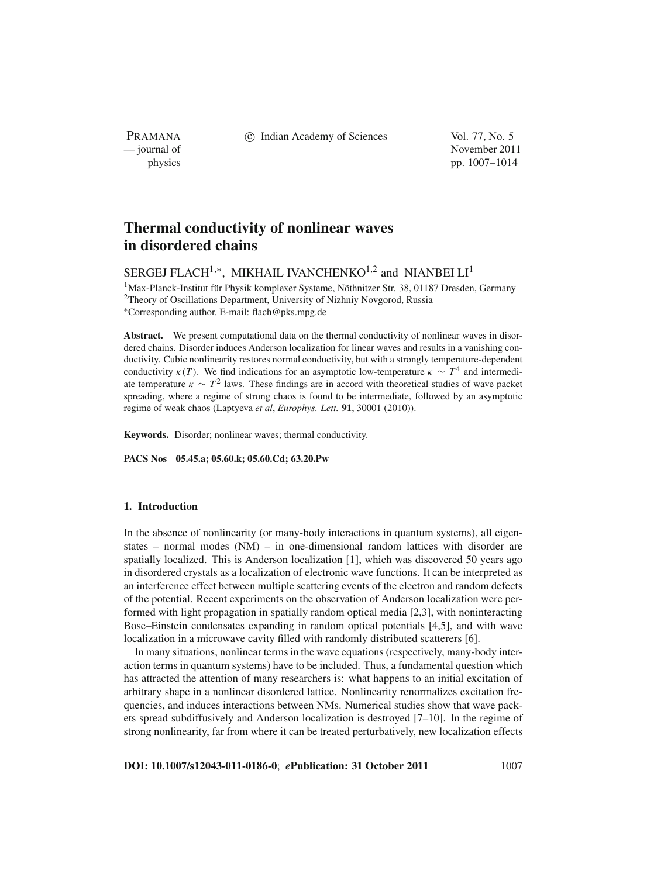PRAMANA

c Indian Academy of Sciences Vol. 77, No. 5

— journal of November 2011 physics pp. 1007–1014

## **Thermal conductivity of nonlinear waves in disordered chains**

# SERGEJ FLACH<sup>1,\*</sup>, MIKHAIL IVANCHENKO<sup>1,2</sup> and NIANBEI LI<sup>1</sup>

1Max-Planck-Institut für Physik komplexer Systeme, Nöthnitzer Str. 38, 01187 Dresden, Germany <sup>2</sup>Theory of Oscillations Department, University of Nizhniy Novgorod, Russia <sup>∗</sup>Corresponding author. E-mail: flach@pks.mpg.de

**Abstract.** We present computational data on the thermal conductivity of nonlinear waves in disordered chains. Disorder induces Anderson localization for linear waves and results in a vanishing conductivity. Cubic nonlinearity restores normal conductivity, but with a strongly temperature-dependent conductivity  $\kappa(T)$ . We find indications for an asymptotic low-temperature  $\kappa \sim T^4$  and intermediate temperature  $\kappa \sim T^2$  laws. These findings are in accord with theoretical studies of wave packet spreading, where a regime of strong chaos is found to be intermediate, followed by an asymptotic regime of weak chaos (Laptyeva *et al*, *Europhys. Lett.* **91**, 30001 (2010)).

**Keywords.** Disorder; nonlinear waves; thermal conductivity.

**PACS Nos 05.45.a; 05.60.k; 05.60.Cd; 63.20.Pw**

## **1. Introduction**

In the absence of nonlinearity (or many-body interactions in quantum systems), all eigenstates – normal modes (NM) – in one-dimensional random lattices with disorder are spatially localized. This is Anderson localization [1], which was discovered 50 years ago in disordered crystals as a localization of electronic wave functions. It can be interpreted as an interference effect between multiple scattering events of the electron and random defects of the potential. Recent experiments on the observation of Anderson localization were performed with light propagation in spatially random optical media [2,3], with noninteracting Bose–Einstein condensates expanding in random optical potentials [4,5], and with wave localization in a microwave cavity filled with randomly distributed scatterers [6].

In many situations, nonlinear terms in the wave equations (respectively, many-body interaction terms in quantum systems) have to be included. Thus, a fundamental question which has attracted the attention of many researchers is: what happens to an initial excitation of arbitrary shape in a nonlinear disordered lattice. Nonlinearity renormalizes excitation frequencies, and induces interactions between NMs. Numerical studies show that wave packets spread subdiffusively and Anderson localization is destroyed [7–10]. In the regime of strong nonlinearity, far from where it can be treated perturbatively, new localization effects

**DOI: 10.1007/s12043-011-0186-0**; *e***Publication: 31 October 2011**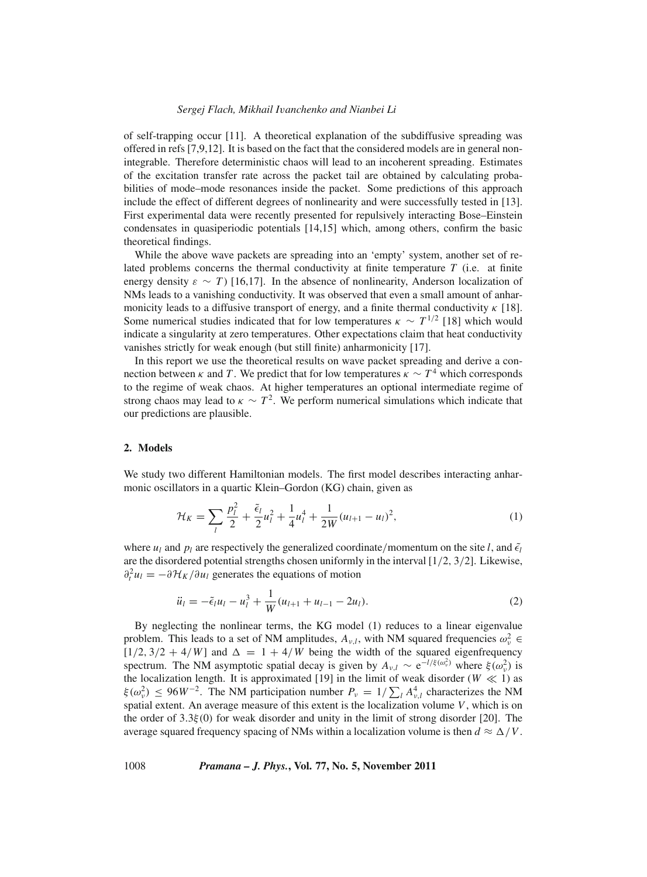#### *Sergej Flach, Mikhail I*v*anchenko and Nianbei Li*

of self-trapping occur [11]. A theoretical explanation of the subdiffusive spreading was offered in refs [7,9,12]. It is based on the fact that the considered models are in general nonintegrable. Therefore deterministic chaos will lead to an incoherent spreading. Estimates of the excitation transfer rate across the packet tail are obtained by calculating probabilities of mode–mode resonances inside the packet. Some predictions of this approach include the effect of different degrees of nonlinearity and were successfully tested in [13]. First experimental data were recently presented for repulsively interacting Bose–Einstein condensates in quasiperiodic potentials [14,15] which, among others, confirm the basic theoretical findings.

While the above wave packets are spreading into an 'empty' system, another set of related problems concerns the thermal conductivity at finite temperature *T* (i.e. at finite energy density  $\varepsilon \sim T$  [16,17]. In the absence of nonlinearity, Anderson localization of NMs leads to a vanishing conductivity. It was observed that even a small amount of anharmonicity leads to a diffusive transport of energy, and a finite thermal conductivity  $\kappa$  [18]. Some numerical studies indicated that for low temperatures  $\kappa \sim T^{1/2}$  [18] which would indicate a singularity at zero temperatures. Other expectations claim that heat conductivity vanishes strictly for weak enough (but still finite) anharmonicity [17].

In this report we use the theoretical results on wave packet spreading and derive a connection between  $\kappa$  and *T*. We predict that for low temperatures  $\kappa \sim T^4$  which corresponds to the regime of weak chaos. At higher temperatures an optional intermediate regime of strong chaos may lead to  $\kappa \sim T^2$ . We perform numerical simulations which indicate that our predictions are plausible.

#### **2. Models**

We study two different Hamiltonian models. The first model describes interacting anharmonic oscillators in a quartic Klein–Gordon (KG) chain, given as

$$
\mathcal{H}_K = \sum_l \frac{p_l^2}{2} + \frac{\tilde{\epsilon}_l}{2} u_l^2 + \frac{1}{4} u_l^4 + \frac{1}{2W} (u_{l+1} - u_l)^2, \tag{1}
$$

where  $u_l$  and  $p_l$  are respectively the generalized coordinate/momentum on the site *l*, and  $\tilde{\epsilon}_l$ are the disordered potential strengths chosen uniformly in the interval  $[1/2, 3/2]$ . Likewise,  $\partial_t^2 u_l = -\partial \mathcal{H}_K / \partial u_l$  generates the equations of motion

$$
\ddot{u}_l = -\tilde{\epsilon}_l u_l - u_l^3 + \frac{1}{W}(u_{l+1} + u_{l-1} - 2u_l). \tag{2}
$$

By neglecting the nonlinear terms, the KG model (1) reduces to a linear eigenvalue problem. This leads to a set of NM amplitudes,  $A_{\nu,l}$ , with NM squared frequencies  $\omega_{\nu}^2 \in$  $[1/2, 3/2 + 4/W]$  and  $\Delta = 1 + 4/W$  being the width of the squared eigenfrequency spectrum. The NM asymptotic spatial decay is given by  $A_{\nu,l} \sim e^{-l/\xi(\omega_v^2)}$  where  $\xi(\omega_v^2)$  is the localization length. It is approximated [19] in the limit of weak disorder ( $W \ll 1$ ) as  $\xi(\omega_v^2) \le 96W^{-2}$ . The NM participation number  $P_v = 1/\sum_l A_{v,l}^4$  characterizes the NM spatial extent. An average measure of this extent is the localization volume *V*, which is on the order of  $3.3\xi(0)$  for weak disorder and unity in the limit of strong disorder [20]. The average squared frequency spacing of NMs within a localization volume is then  $d \approx \Delta/V$ .

## 1008 *Pramana – J. Phys.***, Vol. 77, No. 5, November 2011**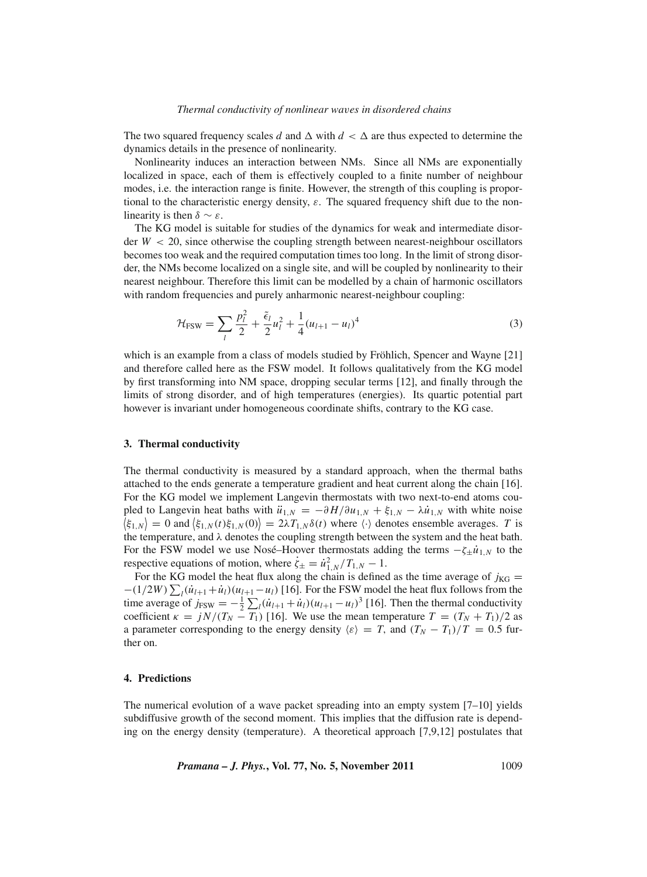#### *Thermal conductivity of nonlinear wa*v*es in disordered chains*

The two squared frequency scales *d* and  $\Delta$  with  $d < \Delta$  are thus expected to determine the dynamics details in the presence of nonlinearity.

Nonlinearity induces an interaction between NMs. Since all NMs are exponentially localized in space, each of them is effectively coupled to a finite number of neighbour modes, i.e. the interaction range is finite. However, the strength of this coupling is proportional to the characteristic energy density,  $\varepsilon$ . The squared frequency shift due to the nonlinearity is then  $\delta \sim \varepsilon$ .

The KG model is suitable for studies of the dynamics for weak and intermediate disorder  $W < 20$ , since otherwise the coupling strength between nearest-neighbour oscillators becomes too weak and the required computation times too long. In the limit of strong disorder, the NMs become localized on a single site, and will be coupled by nonlinearity to their nearest neighbour. Therefore this limit can be modelled by a chain of harmonic oscillators with random frequencies and purely anharmonic nearest-neighbour coupling:

$$
\mathcal{H}_{\text{FSW}} = \sum_{l} \frac{p_l^2}{2} + \frac{\tilde{\epsilon}_l}{2} u_l^2 + \frac{1}{4} (u_{l+1} - u_l)^4 \tag{3}
$$

which is an example from a class of models studied by Fröhlich, Spencer and Wayne [21] and therefore called here as the FSW model. It follows qualitatively from the KG model by first transforming into NM space, dropping secular terms [12], and finally through the limits of strong disorder, and of high temperatures (energies). Its quartic potential part however is invariant under homogeneous coordinate shifts, contrary to the KG case.

#### **3. Thermal conductivity**

The thermal conductivity is measured by a standard approach, when the thermal baths attached to the ends generate a temperature gradient and heat current along the chain [16]. For the KG model we implement Langevin thermostats with two next-to-end atoms coupled to Langevin heat baths with  $\ddot{u}_{1,N} = -\partial H/\partial u_{1,N} + \xi_{1,N} - \lambda \dot{u}_{1,N}$  with white noise  $\langle \xi_{1,N} \rangle = 0$  and  $\langle \xi_{1,N}(t) \xi_{1,N}(0) \rangle = 2\lambda T_{1,N} \delta(t)$  where  $\langle \cdot \rangle$  denotes ensemble averages. *T* is the temperature, and  $\lambda$  denotes the coupling strength between the system and the heat bath. For the FSW model we use Nosé–Hoover thermostats adding the terms  $-\zeta_{\pm} \dot{u}_{1,N}$  to the respective equations of motion, where  $\dot{\zeta}_{\pm} = \dot{u}_{1,N}^2 / T_{1,N} - 1$ .

For the KG model the heat flux along the chain is defined as the time average of  $j_{\text{KG}}$  =  $-(1/2W)\sum_{l}(\dot{u}_{l+1}+\dot{u}_{l})(u_{l+1}-u_{l})$  [16]. For the FSW model the heat flux follows from the time average of  $j_{FSW} = -\frac{1}{2} \sum_l (\dot{u}_{l+1} + \dot{u}_l)(u_{l+1} - u_l)^3$  [16]. Then the thermal conductivity coefficient  $\kappa = jN/(T_N - T_1)$  [16]. We use the mean temperature  $T = (T_N + T_1)/2$  as a parameter corresponding to the energy density  $\langle \varepsilon \rangle = T$ , and  $(T_N - T_1)/T = 0.5$  further on.

#### **4. Predictions**

The numerical evolution of a wave packet spreading into an empty system [7–10] yields subdiffusive growth of the second moment. This implies that the diffusion rate is depending on the energy density (temperature). A theoretical approach [7,9,12] postulates that

*Pramana – J. Phys.***, Vol. 77, No. 5, November 2011** 1009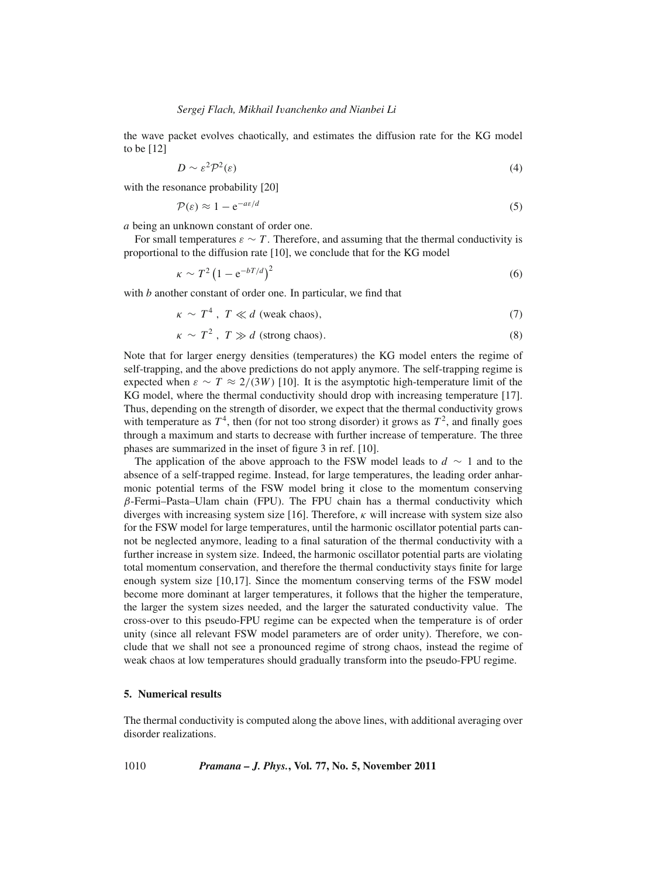the wave packet evolves chaotically, and estimates the diffusion rate for the KG model to be [12]

$$
D \sim \varepsilon^2 \mathcal{P}^2(\varepsilon) \tag{4}
$$

with the resonance probability [20]

$$
\mathcal{P}(\varepsilon) \approx 1 - e^{-a\varepsilon/d} \tag{5}
$$

*a* being an unknown constant of order one.

For small temperatures  $\varepsilon \sim T$ . Therefore, and assuming that the thermal conductivity is proportional to the diffusion rate [10], we conclude that for the KG model

$$
\kappa \sim T^2 \left(1 - e^{-bT/d}\right)^2 \tag{6}
$$

with *b* another constant of order one. In particular, we find that

$$
\kappa \sim T^4 \, , \, T \ll d \text{ (weak chaos)},\tag{7}
$$

$$
\kappa \sim T^2, \ T \gg d \text{ (strong chaos)}.
$$
 (8)

Note that for larger energy densities (temperatures) the KG model enters the regime of self-trapping, and the above predictions do not apply anymore. The self-trapping regime is expected when  $\varepsilon \sim T \approx 2/(3W)$  [10]. It is the asymptotic high-temperature limit of the KG model, where the thermal conductivity should drop with increasing temperature [17]. Thus, depending on the strength of disorder, we expect that the thermal conductivity grows with temperature as  $T^4$ , then (for not too strong disorder) it grows as  $T^2$ , and finally goes through a maximum and starts to decrease with further increase of temperature. The three phases are summarized in the inset of figure 3 in ref. [10].

The application of the above approach to the FSW model leads to *d* ∼ 1 and to the absence of a self-trapped regime. Instead, for large temperatures, the leading order anharmonic potential terms of the FSW model bring it close to the momentum conserving β-Fermi–Pasta–Ulam chain (FPU). The FPU chain has a thermal conductivity which diverges with increasing system size [16]. Therefore,  $\kappa$  will increase with system size also for the FSW model for large temperatures, until the harmonic oscillator potential parts cannot be neglected anymore, leading to a final saturation of the thermal conductivity with a further increase in system size. Indeed, the harmonic oscillator potential parts are violating total momentum conservation, and therefore the thermal conductivity stays finite for large enough system size [10,17]. Since the momentum conserving terms of the FSW model become more dominant at larger temperatures, it follows that the higher the temperature, the larger the system sizes needed, and the larger the saturated conductivity value. The cross-over to this pseudo-FPU regime can be expected when the temperature is of order unity (since all relevant FSW model parameters are of order unity). Therefore, we conclude that we shall not see a pronounced regime of strong chaos, instead the regime of weak chaos at low temperatures should gradually transform into the pseudo-FPU regime.

## **5. Numerical results**

The thermal conductivity is computed along the above lines, with additional averaging over disorder realizations.

1010 *Pramana – J. Phys.***, Vol. 77, No. 5, November 2011**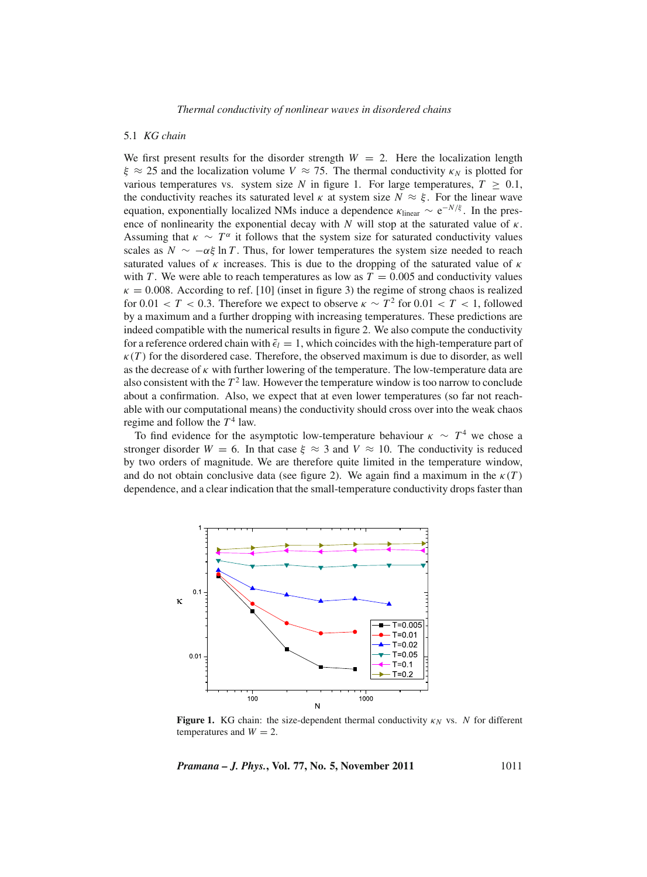#### 5.1 *KG chain*

We first present results for the disorder strength  $W = 2$ . Here the localization length  $\xi \approx 25$  and the localization volume  $V \approx 75$ . The thermal conductivity  $\kappa_N$  is plotted for various temperatures vs. system size *N* in figure 1. For large temperatures,  $T > 0.1$ , the conductivity reaches its saturated level  $\kappa$  at system size  $N \approx \xi$ . For the linear wave equation, exponentially localized NMs induce a dependence  $\kappa_{\text{linear}} \sim e^{-N/\xi}$ . In the presence of nonlinearity the exponential decay with  $N$  will stop at the saturated value of  $\kappa$ . Assuming that  $\kappa \sim T^{\alpha}$  it follows that the system size for saturated conductivity values scales as  $N \sim -\alpha \xi \ln T$ . Thus, for lower temperatures the system size needed to reach saturated values of  $\kappa$  increases. This is due to the dropping of the saturated value of  $\kappa$ with *T*. We were able to reach temperatures as low as  $T = 0.005$  and conductivity values  $\kappa = 0.008$ . According to ref. [10] (inset in figure 3) the regime of strong chaos is realized for 0.01 < *T* < 0.3. Therefore we expect to observe  $\kappa \sim T^2$  for 0.01 < *T* < 1, followed by a maximum and a further dropping with increasing temperatures. These predictions are indeed compatible with the numerical results in figure 2. We also compute the conductivity for a reference ordered chain with  $\tilde{\epsilon}_l = 1$ , which coincides with the high-temperature part of  $\kappa(T)$  for the disordered case. Therefore, the observed maximum is due to disorder, as well as the decrease of  $\kappa$  with further lowering of the temperature. The low-temperature data are also consistent with the  $T<sup>2</sup>$  law. However the temperature window is too narrow to conclude about a confirmation. Also, we expect that at even lower temperatures (so far not reachable with our computational means) the conductivity should cross over into the weak chaos regime and follow the  $T^4$  law.

To find evidence for the asymptotic low-temperature behaviour  $\kappa \sim T^4$  we chose a stronger disorder  $W = 6$ . In that case  $\xi \approx 3$  and  $V \approx 10$ . The conductivity is reduced by two orders of magnitude. We are therefore quite limited in the temperature window, and do not obtain conclusive data (see figure 2). We again find a maximum in the  $\kappa(T)$ dependence, and a clear indication that the small-temperature conductivity drops faster than



**Figure 1.** KG chain: the size-dependent thermal conductivity  $\kappa_N$  vs. *N* for different temperatures and  $W = 2$ .

*Pramana – J. Phys.***, Vol. 77, No. 5, November 2011** 1011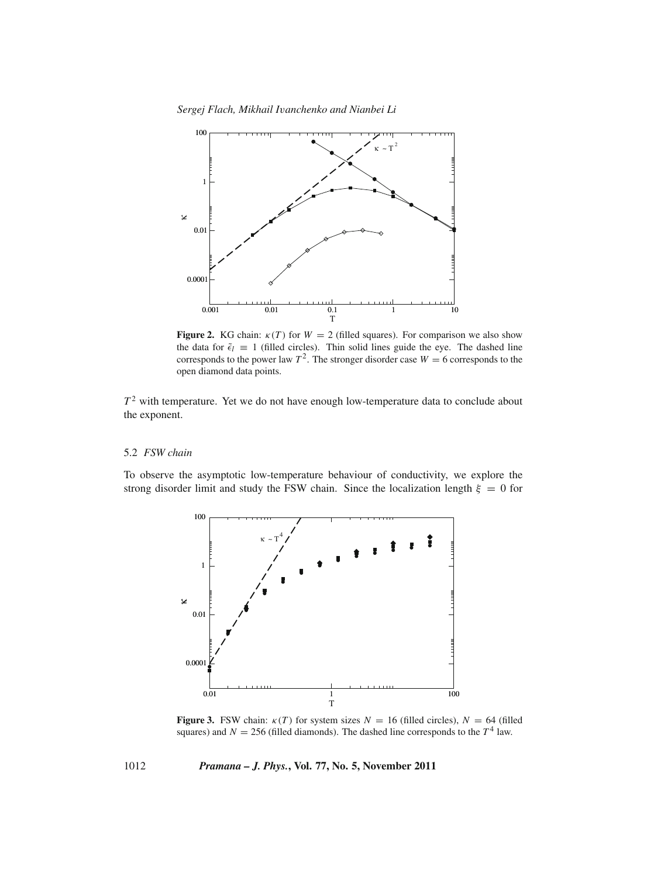

**Figure 2.** KG chain:  $\kappa(T)$  for  $W = 2$  (filled squares). For comparison we also show the data for  $\tilde{\epsilon}_l \equiv 1$  (filled circles). Thin solid lines guide the eye. The dashed line corresponds to the power law  $T^2$ . The stronger disorder case  $W = 6$  corresponds to the open diamond data points.

*T*<sup>2</sup> with temperature. Yet we do not have enough low-temperature data to conclude about the exponent.

#### 5.2 *FSW chain*

To observe the asymptotic low-temperature behaviour of conductivity, we explore the strong disorder limit and study the FSW chain. Since the localization length  $\xi = 0$  for



**Figure 3.** FSW chain:  $\kappa(T)$  for system sizes  $N = 16$  (filled circles),  $N = 64$  (filled squares) and  $N = 256$  (filled diamonds). The dashed line corresponds to the  $T^4$  law.

1012 *Pramana – J. Phys.***, Vol. 77, No. 5, November 2011**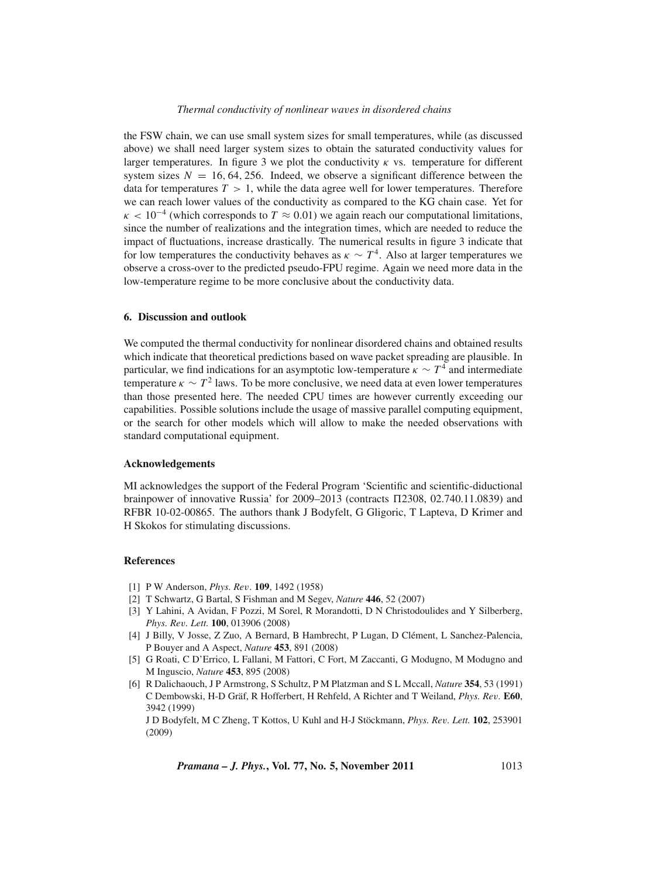#### *Thermal conductivity of nonlinear wa*v*es in disordered chains*

the FSW chain, we can use small system sizes for small temperatures, while (as discussed above) we shall need larger system sizes to obtain the saturated conductivity values for larger temperatures. In figure 3 we plot the conductivity  $\kappa$  vs. temperature for different system sizes  $N = 16, 64, 256$ . Indeed, we observe a significant difference between the data for temperatures  $T > 1$ , while the data agree well for lower temperatures. Therefore we can reach lower values of the conductivity as compared to the KG chain case. Yet for  $\kappa < 10^{-4}$  (which corresponds to  $T \approx 0.01$ ) we again reach our computational limitations, since the number of realizations and the integration times, which are needed to reduce the impact of fluctuations, increase drastically. The numerical results in figure 3 indicate that for low temperatures the conductivity behaves as  $\kappa \sim T^4$ . Also at larger temperatures we observe a cross-over to the predicted pseudo-FPU regime. Again we need more data in the low-temperature regime to be more conclusive about the conductivity data.

### **6. Discussion and outlook**

We computed the thermal conductivity for nonlinear disordered chains and obtained results which indicate that theoretical predictions based on wave packet spreading are plausible. In particular, we find indications for an asymptotic low-temperature  $\kappa \sim T^4$  and intermediate temperature  $\kappa \sim T^2$  laws. To be more conclusive, we need data at even lower temperatures than those presented here. The needed CPU times are however currently exceeding our capabilities. Possible solutions include the usage of massive parallel computing equipment, or the search for other models which will allow to make the needed observations with standard computational equipment.

#### **Acknowledgements**

MI acknowledges the support of the Federal Program 'Scientific and scientific-diductional brainpower of innovative Russia' for  $2009-2013$  (contracts  $\Pi$ 2308, 02.740.11.0839) and RFBR 10-02-00865. The authors thank J Bodyfelt, G Gligoric, T Lapteva, D Krimer and H Skokos for stimulating discussions.

#### **References**

- [1] P W Anderson, *Phys. Re*v. **109**, 1492 (1958)
- [2] T Schwartz, G Bartal, S Fishman and M Segev, *Nature* **446**, 52 (2007)
- [3] Y Lahini, A Avidan, F Pozzi, M Sorel, R Morandotti, D N Christodoulides and Y Silberberg, *Phys. Re*v*. Lett.* **100**, 013906 (2008)
- [4] J Billy, V Josse, Z Zuo, A Bernard, B Hambrecht, P Lugan, D Clément, L Sanchez-Palencia, P Bouyer and A Aspect, *Nature* **453**, 891 (2008)
- [5] G Roati, C D'Errico, L Fallani, M Fattori, C Fort, M Zaccanti, G Modugno, M Modugno and M Inguscio, *Nature* **453**, 895 (2008)
- [6] R Dalichaouch, J P Armstrong, S Schultz, P M Platzman and S L Mccall, *Nature* **354**, 53 (1991) C Dembowski, H-D Gräf, R Hofferbert, H Rehfeld, A Richter and T Weiland, *Phys. Re*v*.* **E60**, 3942 (1999)

J D Bodyfelt, M C Zheng, T Kottos, U Kuhl and H-J Stöckmann, *Phys. Re*v*. Lett.* **102**, 253901 (2009)